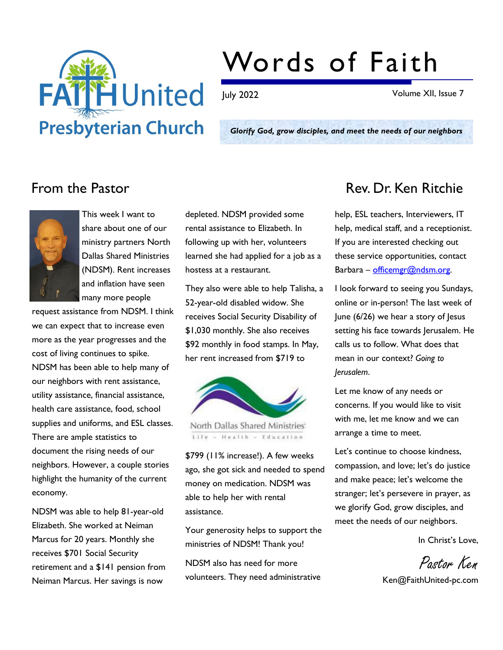

# Words of Faith

July 2022 Volume XII, Issue 7

Glorify God, grow disciples, and meet the needs of our neighbors



This week I want to share about one of our ministry partners North Dallas Shared Ministries (NDSM). Rent increases and inflation have seen many more people

request assistance from NDSM. I think we can expect that to increase even more as the year progresses and the cost of living continues to spike. NDSM has been able to help many of our neighbors with rent assistance, utility assistance, financial assistance, health care assistance, food, school supplies and uniforms, and ESL classes. There are ample statistics to document the rising needs of our neighbors. However, a couple stories highlight the humanity of the current economy.

NDSM was able to help 81-year-old Elizabeth. She worked at Neiman Marcus for 20 years. Monthly she receives \$701 Social Security retirement and a \$141 pension from Neiman Marcus. Her savings is now

depleted. NDSM provided some rental assistance to Elizabeth. In following up with her, volunteers learned she had applied for a job as a hostess at a restaurant.

They also were able to help Talisha, a 52-year-old disabled widow. She receives Social Security Disability of \$1,030 monthly. She also receives \$92 monthly in food stamps. In May, her rent increased from \$719 to



North Dallas Shared Ministries Life - Health - Education

\$799 (11% increase!). A few weeks ago, she got sick and needed to spend money on medication. NDSM was able to help her with rental assistance.

Your generosity helps to support the ministries of NDSM! Thank you!

NDSM also has need for more volunteers. They need administrative

## From the Pastor **Rev. Dr. Ken Ritchie**

help, ESL teachers, Interviewers, IT help, medical staff, and a receptionist. If you are interested checking out these service opportunities, contact Barbara – officemgr@ndsm.org.

I look forward to seeing you Sundays, online or in-person! The last week of June (6/26) we hear a story of Jesus setting his face towards Jerusalem. He calls us to follow. What does that mean in our context? Going to Jerusalem.

Let me know of any needs or concerns. If you would like to visit with me, let me know and we can arrange a time to meet.

Let's continue to choose kindness, compassion, and love; let's do justice and make peace; let's welcome the stranger; let's persevere in prayer, as we glorify God, grow disciples, and meet the needs of our neighbors.

In Christ's Love,

Pastor Ken

Ken@FaithUnited-pc.com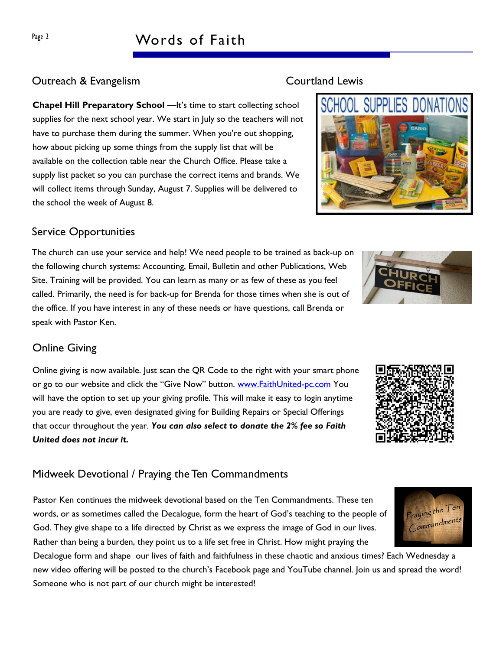# Page 2 Words of Faith

### Outreach & Evangelism Courtland Lewis

Chapel Hill Preparatory School —It's time to start collecting school supplies for the next school year. We start in July so the teachers will not have to purchase them during the summer. When you're out shopping, how about picking up some things from the supply list that will be available on the collection table near the Church Office. Please take a supply list packet so you can purchase the correct items and brands. We will collect items through Sunday, August 7. Supplies will be delivered to the school the week of August 8.

#### Service Opportunities

The church can use your service and help! We need people to be trained as back-up on the following church systems: Accounting, Email, Bulletin and other Publications, Web Site. Training will be provided. You can learn as many or as few of these as you feel called. Primarily, the need is for back-up for Brenda for those times when she is out of the office. If you have interest in any of these needs or have questions, call Brenda or speak with Pastor Ken.

#### Online Giving

Online giving is now available. Just scan the QR Code to the right with your smart phone or go to our website and click the "Give Now" button. www.FaithUnited-pc.com You will have the option to set up your giving profile. This will make it easy to login anytime you are ready to give, even designated giving for Building Repairs or Special Offerings that occur throughout the year. You can also select to donate the 2% fee so Faith United does not incur it.

#### Midweek Devotional / Praying the Ten Commandments

Pastor Ken continues the midweek devotional based on the Ten Commandments. These ten words, or as sometimes called the Decalogue, form the heart of God's teaching to the people of God. They give shape to a life directed by Christ as we express the image of God in our lives. Rather than being a burden, they point us to a life set free in Christ. How might praying the

Decalogue form and shape our lives of faith and faithfulness in these chaotic and anxious times? Each Wednesday a new video offering will be posted to the church's Facebook page and YouTube channel. Join us and spread the word! Someone who is not part of our church might be interested!









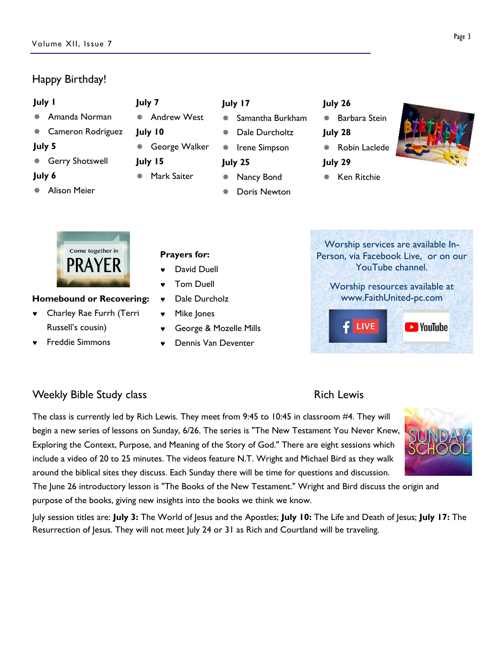### Happy Birthday!

| <b>July I</b> |                     |   | July 7             | July 17 |              |
|---------------|---------------------|---|--------------------|---------|--------------|
| 兼             | Amanda Norman       | 漈 | <b>Andrew West</b> | 齋       | Sam          |
|               | Cameron Rodriguez   |   | July 10            | 鮝       | Dal          |
| July 5        |                     | ※ | George Walker      | 罄       | <b>I</b> rer |
|               | * Gerry Shotswell   |   | July 15            |         | July 25      |
| July 6        |                     | 鱉 | Mark Saiter        | 鱉       | Nar          |
| 楽             | <b>Alison Meier</b> |   |                    | 楽       | Doi          |

- nantha Burkham
	- le Durcholtz
- ne Simpson
	-
- ncy Bond
- oris Newton

|  | ٠ |
|--|---|
|--|---|

- Barbara Stein
- July 28
	-
	- \* Robin Laclede
	- July 29
	- \* Ken Ritchie



Come together in PRAY

#### Homebound or Recovering:

- © Charley Rae Furrh (Terri Russell's cousin)
- © Freddie Simmons

#### Prayers for:

- David Duell
- Tom Duell
- Dale Durcholz
- Mike Jones
- © George & Mozelle Mills
- © Dennis Van Deventer
- Worship services are available In-Person, via Facebook Live, or on our YouTube channel. Worship resources available at www.FaithUnited-pc.com**LIVE D** YouTube

### Weekly Bible Study class **Rich Lewis** Rich Lewis

The class is currently led by Rich Lewis. They meet from 9:45 to 10:45 in classroom #4. They will begin a new series of lessons on Sunday, 6/26. The series is "The New Testament You Never Knew, Exploring the Context, Purpose, and Meaning of the Story of God." There are eight sessions which include a video of 20 to 25 minutes. The videos feature N.T. Wright and Michael Bird as they walk around the biblical sites they discuss. Each Sunday there will be time for questions and discussion.

The June 26 introductory lesson is "The Books of the New Testament." Wright and Bird discuss the origin and purpose of the books, giving new insights into the books we think we know.

July session titles are: July 3: The World of Jesus and the Apostles; July 10: The Life and Death of Jesus; July 17: The Resurrection of Jesus. They will not meet July 24 or 31 as Rich and Courtland will be traveling.